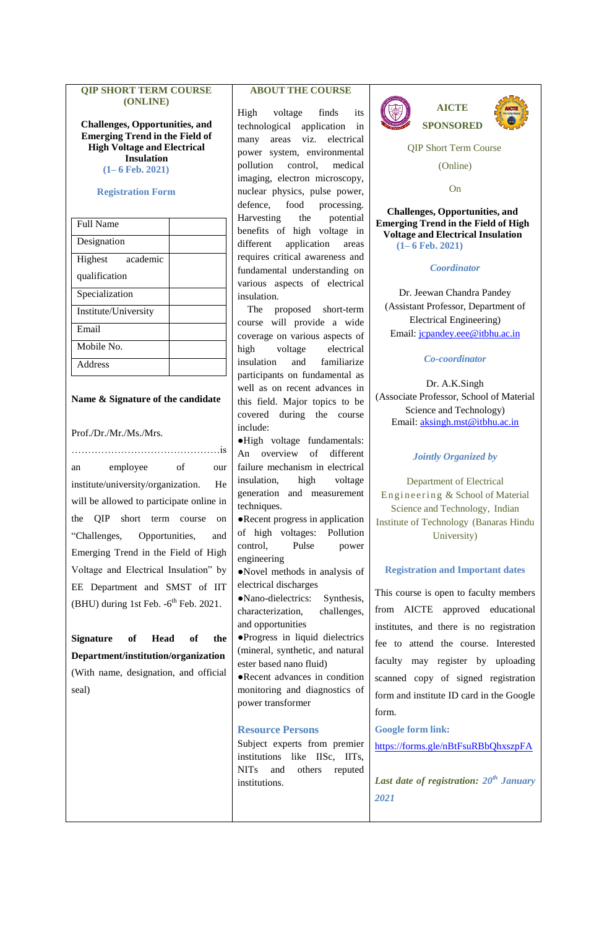#### **QIP SHORT TERM COURSE (ONLINE)**

**Challenges, Opportunities, and Emerging Trend in the Field of High Voltage and Electrical Insulation (1– 6 Feb. 2021)**

#### **Registration Form**

| <b>Full Name</b>     |  |
|----------------------|--|
| Designation          |  |
| academic<br>Highest  |  |
| qualification        |  |
| Specialization       |  |
| Institute/University |  |
| Email                |  |
| Mobile No.           |  |
| <b>Address</b>       |  |

### **Name & Signature of the candidate**

#### Prof./Dr./Mr./Ms./Mrs.

………………………………………is an employee of our institute/university/organization. He will be allowed to participate online in the QIP short term course on "Challenges, Opportunities, and Emerging Trend in the Field of High Voltage and Electrical Insulation" by EE Department and SMST of IIT  $(BHU)$  during 1st Feb.  $-6<sup>th</sup>$  Feb. 2021.

**Signature of Head of the Department/institution/organization**  (With name, designation, and official seal)

# **ABOUT THE COURSE**

High voltage finds its technological application in many areas viz. electrical power system, environmental pollution control, medical imaging, electron microscopy, nuclear physics, pulse power, defence, food processing. Harvesting the potential benefits of high voltage in different application areas requires critical awareness and fundamental understanding on various aspects of electrical insulation.

 The proposed short-term course will provide a wide coverage on various aspects of high voltage electrical insulation and familiarize participants on fundamental as well as on recent advances in this field. Major topics to be covered during the course include:

●High voltage fundamentals: An overview of different failure mechanism in electrical insulation, high voltage generation and measurement techniques.

●Recent progress in application of high voltages: Pollution control, Pulse power engineering

●Novel methods in analysis of electrical discharges

●Nano-dielectrics: Synthesis, characterization, challenges, and opportunities ●Progress in liquid dielectrics (mineral, synthetic, and natural

ester based nano fluid) ●Recent advances in condition monitoring and diagnostics of power transformer

### **Resource Persons**

Subject experts from premier institutions like IISc, IITs, NITs and others reputed institutions.



QIP Short Term Course

(Online)

On

**Challenges, Opportunities, and Emerging Trend in the Field of High Voltage and Electrical Insulation (1– 6 Feb. 2021)**

*Coordinator*

Dr. Jeewan Chandra Pandey (Assistant Professor, Department of Electrical Engineering) Email: [jcpandey.eee@itbhu.ac.in](mailto:jcpandey.eee@itbhu.ac.in)

*Co-coordinator*

Dr. A.K.Singh (Associate Professor, School of Material Science and Technology) Email: [aksingh.mst@itbhu.ac.in](mailto:aksingh.mst@itbhu.ac.in)

#### *Jointly Organized by*

Department of Electrical Engineering & School of Material Science and Technology, Indian Institute of Technology (Banaras Hindu University)

#### **Registration and Important dates**

This course is open to faculty members from AICTE approved educational institutes, and there is no registration fee to attend the course. Interested faculty may register by uploading scanned copy of signed registration form and institute ID card in the Google form.

**Google form link:**

<https://forms.gle/nBtFsuRBbQhxszpFA>

*Last date of registration: 20th January 2021*